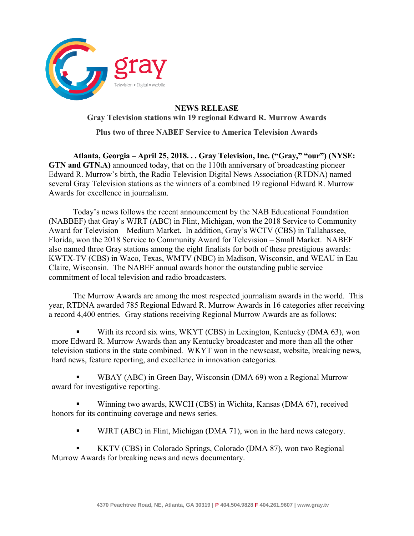

## **NEWS RELEASE Gray Television stations win 19 regional Edward R. Murrow Awards**

**Plus two of three NABEF Service to America Television Awards**

**Atlanta, Georgia – April 25, 2018. . . Gray Television, Inc. ("Gray," "our") (NYSE: GTN and GTN.A)** announced today, that on the 110th anniversary of broadcasting pioneer Edward R. Murrow's birth, the Radio Television Digital News Association (RTDNA) named several Gray Television stations as the winners of a combined 19 regional Edward R. Murrow Awards for excellence in journalism.

Today's news follows the recent announcement by the NAB Educational Foundation (NABBEF) that Gray's WJRT (ABC) in Flint, Michigan, won the 2018 Service to Community Award for Television – Medium Market. In addition, Gray's WCTV (CBS) in Tallahassee, Florida, won the 2018 Service to Community Award for Television – Small Market. NABEF also named three Gray stations among the eight finalists for both of these prestigious awards: KWTX-TV (CBS) in Waco, Texas, WMTV (NBC) in Madison, Wisconsin, and WEAU in Eau Claire, Wisconsin. The NABEF annual awards honor the outstanding public service commitment of local television and radio broadcasters.

The Murrow Awards are among the most respected journalism awards in the world. This year, RTDNA awarded 785 Regional Edward R. Murrow Awards in 16 categories after receiving a record 4,400 entries. Gray stations receiving Regional Murrow Awards are as follows:

 With its record six wins, WKYT (CBS) in Lexington, Kentucky (DMA 63), won more Edward R. Murrow Awards than any Kentucky broadcaster and more than all the other television stations in the state combined. WKYT won in the newscast, website, breaking news, hard news, feature reporting, and excellence in innovation categories.

 WBAY (ABC) in Green Bay, Wisconsin (DMA 69) won a Regional Murrow award for investigative reporting.

 Winning two awards, KWCH (CBS) in Wichita, Kansas (DMA 67), received honors for its continuing coverage and news series.

WJRT (ABC) in Flint, Michigan (DMA 71), won in the hard news category.

 KKTV (CBS) in Colorado Springs, Colorado (DMA 87), won two Regional Murrow Awards for breaking news and news documentary.